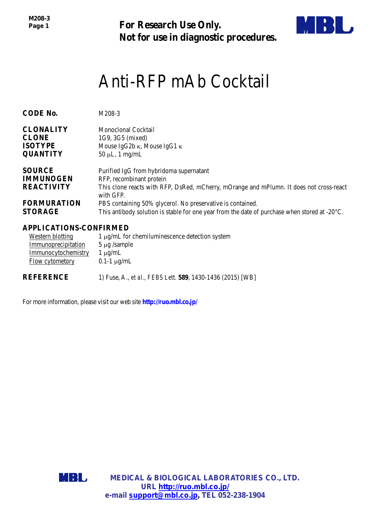*M208-3 Page 1*

**For Research Use Only. Not for use in diagnostic procedures.**



# Anti-RFP mAb Cocktail

| <b>CODE No.</b>                                        | M208-3                                                                                                                                                                      |
|--------------------------------------------------------|-----------------------------------------------------------------------------------------------------------------------------------------------------------------------------|
| <b>CLONALITY</b>                                       | Monoclonal Cocktail                                                                                                                                                         |
| <b>CLONE</b>                                           | 1G9, 3G5 (mixed)                                                                                                                                                            |
| <b>ISOTYPE</b>                                         | Mouse IgG2b $\kappa$ , Mouse IgG1 $\kappa$                                                                                                                                  |
| <b>QUANTITY</b>                                        | $50 \mu L$ , 1 mg/mL                                                                                                                                                        |
| <b>SOURCE</b><br><b>IMMUNOGEN</b><br><b>REACTIVITY</b> | Purified IgG from hybridoma supernatant<br>RFP, recombinant protein<br>This clone reacts with RFP, DsRed, mCherry, mOrange and mPlumn. It does not cross-react<br>with GFP. |
| <b>FORMURATION</b>                                     | PBS containing 50% glycerol. No preservative is contained.                                                                                                                  |
| <b>STORAGE</b>                                         | This antibody solution is stable for one year from the date of purchase when stored at $-20^{\circ}$ C.                                                                     |

## **APPLICATIONS-CONFIRMED**

| Western blotting    | 1 μg/mL for chemiluminescence detection system |
|---------------------|------------------------------------------------|
| Immunoprecipitation | $5 \mu$ g /sample                              |
| Immunocytochemistry | $1 \mu g/mL$                                   |
| Flow cytometory     | $0.1-1 \mu g/mL$                               |
|                     |                                                |

**REFERENCE** 1) Fuse, A., *et al., FEBS Lett.* **589**, 1430-1436 (2015) [WB]

For more information, please visit our web site **http://ruo.mbl.co.jp/**

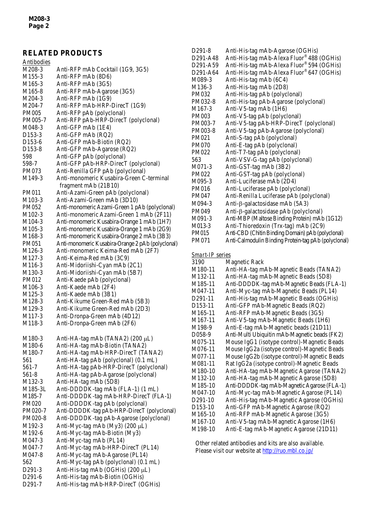# **RELATED PRODUCTS**

| <b>Antibodies</b>   |                                                   |
|---------------------|---------------------------------------------------|
| M208-3              | Anti-RFP mAb Cocktail (1G9, 3G5)                  |
| M <sub>155</sub> -3 | Anti-RFP mAb (8D6)                                |
| M <sub>165</sub> -3 | Anti-RFP mAb (3G5)                                |
| M <sub>165-8</sub>  | Anti-RFP mAb-Agarose (3G5)                        |
| M204-3              | Anti-RFP mAb (1G9)                                |
| M204-7              | Anti-RFP mAb-HRP-DirecT (1G9)                     |
| <b>PM005</b>        | Anti-RFP pAb (polyclonal)                         |
| PM005-7             | Anti-RFP pAb-HRP-DirecT (polyclonal)              |
| M048-3              | Anti-GFP mAb (1E4)                                |
| D <sub>153</sub> -3 | Anti-GFP mAb (RQ2)                                |
| D153-6              | Anti-GFP mAb-Biotin (RQ2)                         |
| D <sub>153</sub> -8 | Anti-GFP mAb-Agarose (RQ2)                        |
| 598                 | Anti-GFP pAb (polyclonal)                         |
| 598-7               | Anti-GFP pAb-HRP-DirecT (polyclonal)              |
| PM073               | Anti-Renilla GFP pAb (polyclonal)                 |
| M149-3              | Anti-monomeric Kusabira-Green C-terminal          |
|                     | fragment mAb (21B10)                              |
| <b>PM011</b>        | Anti-Azami-Green pAb (polyclonal)                 |
| M <sub>1</sub> 03-3 | Anti-Azami-Green mAb (3D10)                       |
| PM052               | Anti-monomeric Azami-Green 1 pAb (polyclonal)     |
| M102-3              | Anti-monomeric Azami-Green 1 mAb (2F11)           |
| M104-3              | Anti-monomeric Kusabira-Orange 1 mAb (1H7)        |
| M <sub>105</sub> -3 | Anti-monomeric Kusabira-Orange 1 mAb (2G9)        |
| M168-3              | Anti-monomeric Kusabira-Orange 2 mAb (3B3)        |
| PM051               | Anti-monomeric Kusabira-Orange 2 pAb (polyclonal) |
| M <sub>126</sub> -3 | Anti-monomeric Keima-Red mAb (2F7)                |
| M <sub>127</sub> -3 | Anti-Keima-Red mAb (3C9)                          |
| M116-3              | Anti-Midoriishi-Cyan mAb (2C1)                    |
| M130-3              | Anti-Midoriishi-Cyan mAb (5B7)                    |
| <b>PM012</b>        | Anti-Kaede pAb (polyclonal)                       |
| M <sub>106</sub> -3 | Anti-Kaede mAb (2F4)                              |
| M <sub>125</sub> -3 | Anti-Kaede mAb (3B1)                              |
| M128-3              | Anti-Kikume Green-Red mAb (5B3)                   |
| M <sub>129</sub> -3 | Anti-Kikume Green-Red mAb (2D3)                   |
| M117-3              | Anti-Dronpa-Green mAb (4D12)                      |
| M118-3              | Anti-Dronpa-Green mAb (2F6)                       |
|                     |                                                   |
| M <sub>1</sub> 80-3 | Anti-HA-tag mAb (TANA2) (200 µL)                  |
| M180-6              | Anti-HA-tag mAb-Biotin (TANA2)                    |
| M <sub>1</sub> 80-7 | Anti-HA-tag mAb-HRP-DirecT (TANA2)                |
| 561                 | Anti-HA-tag pAb (polyclonal) (0.1 mL)             |
| 561-7               | Anti-HA-tag pAb-HRP-DirecT (polyclonal)           |
| 561-8               | Anti-HA-tag pAb-Agarose (polyclonal)              |
| M132-3              | Anti-HA-tag mAb (5D8)                             |
| M185-3L             | Anti-DDDDK-tag mAb (FLA-1) (1 mL)                 |
| M185-7              | Anti-DDDDK-tag mAb-HRP-DirecT (FLA-1)             |
| PM020               | Anti-DDDDK-tag pAb (polyclonal)                   |
| PM020-7             | Anti-DDDDK-tag pAb-HRP-DirecT (polyclonal)        |
| PM020-8             | Anti-DDDDK-tag pAb-Agarose (polyclonal)           |
| M192-3              | Anti-Myc-tag mAb (My3) (200 µL)                   |
| M192-6              | Anti-Myc-tag mAb-Biotin (My3)                     |
| M047-3              | Anti-Myc-tag mAb (PL14)                           |
| M047-7              | Anti-Myc-tag mAb-HRP-DirecT (PL14)                |
| M047-8              | Anti-Myc-tag mAb-Agarose (PL14)                   |
| 562                 | Anti-Myc-tag pAb (polyclonal) (0.1 mL)            |
| D291-3              | Anti-His-tag mAb (OGHis) (200 µL)                 |
| D <sub>291</sub> -6 | Anti-His-tag mAb-Biotin (OGHis)                   |
| D <sub>291-7</sub>  | Anti-His-tag mAb-HRP-DirecT (OGHis)               |
|                     |                                                   |

| D <sub>291</sub> -8               | Anti-His-tag mAb-Agarose (OGHis)                     |
|-----------------------------------|------------------------------------------------------|
| D <sub>291</sub> -A <sub>48</sub> | Anti-His-tag mAb-Alexa Fluor® 488 (OGHis)            |
| D <sub>291</sub> -A <sub>59</sub> | Anti-His-tag mAb-Alexa Fluor® 594 (OGHis)            |
| D <sub>291</sub> -A <sub>64</sub> | Anti-His-tag mAb-Alexa Fluor® 647 (OGHis)            |
| M089-3                            | Anti-His-tag mAb (6C4)                               |
| M <sub>136</sub> -3               | Anti-His-tag mAb (2D8)                               |
| <b>PM032</b>                      | Anti-His-tag pAb (polyclonal)                        |
| PM032-8                           | Anti-His-tag pAb-Agarose (polyclonal)                |
| M <sub>167</sub> -3               | Anti-V5-tag mAb (1H6)                                |
| <b>PM003</b>                      | Anti-V5-tag pAb (polyclonal)                         |
| PM003-7                           | Anti-V5-tag pAb-HRP-DirecT (polyclonal)              |
| PM003-8                           | Anti-V5-tag pAb-Agarose (polyclonal)                 |
| PM021                             | Anti-S-tag pAb (polyclonal)                          |
| <b>PM070</b>                      | Anti-E-tag pAb (polyclonal)                          |
| <b>PM022</b>                      | Anti-T7-tag pAb (polyclonal)                         |
| 563                               | Anti-VSV-G-tag pAb (polyclonal)                      |
| $M071-3$                          | Anti-GST-tag mAb (3B2)                               |
| <b>PM022</b>                      | Anti-GST-tag pAb (polyclonal)                        |
| M095-3                            | Anti-Luciferase mAb (2D4)                            |
| PM016                             | Anti-Luciferase pAb (polyclonal)                     |
| PM047                             | Anti-Renilla Luciferase pAb (polyclonal)             |
| M094-3                            | Anti-β-galactosidase mAb (5A3)                       |
| PM049                             | Anti-β-galactosidase pAb (polyclonal)                |
| $M091-3$                          | Anti-MBP (Maltose Binding Protein) mAb (1G12)        |
| M013-3                            | Anti-Thioredoxin (Trx-tag) mAb (2C9)                 |
| <b>PM015</b>                      | Anti-CBD (Chitin Binding Domain) pAb (polyclonal)    |
| <b>PM071</b>                      | Anti-Calmodulin Binding Protein-tag pAb (polyclonal) |
|                                   |                                                      |

## *Smart-IP* series

| 3190                 | Magnetic Rack                                 |
|----------------------|-----------------------------------------------|
| M180-11              | Anti-HA-tag mAb-Magnetic Beads (TANA2)        |
| M132-11              | Anti-HA-tag mAb-Magnetic Beads (5D8)          |
| M185-11              | Anti-DDDDK-tag mAb-Magnetic Beads (FLA-1)     |
| M047-11              | Anti-Myc-tag mAb-Magnetic Beads (PL14)        |
| D <sub>291</sub> -11 | Anti-His-tag mAb-Magnetic Beads (OGHis)       |
| D <sub>153</sub> -11 | Anti-GFP mAb-Magnetic Beads (RQ2)             |
| M165-11              | Anti-RFP mAb-Magnetic Beads (3G5)             |
| M167-11              | Anti-V5-tag mAb-Magnetic Beads (1H6)          |
| M198-9               | Anti-E-tag mAb-Magnetic beads (21D11)         |
| D058-9               | Anti-Multi Ubiquitin mAb-Magnetic beads (FK2) |
| M075-11              | Mouse IgG1 (isotype control)-Magnetic Beads   |
| M076-11              | Mouse IgG2a (isotype control)-Magnetic Beads  |
| M077-11              | Mouse IgG2b (isotype control)-Magnetic Beads  |
| M081-11              | Rat IgG2a (isotype control)-Magnetic Beads    |
| M180-10              | Anti-HA-tag mAb-Magnetic Agarose (TANA2)      |
| M132-10              | Anti-HA-tag mAb-Magnetic Agarose (5D8)        |
| M <sub>1</sub> 85-10 | Anti-DDDDK-tag mAb-Magnetic Agarose (FLA-1)   |
| M047-10              | Anti-Myc-tag mAb-Magnetic Agarose (PL14)      |
| D <sub>291</sub> -10 | Anti-His-tag mAb-Magnetic Agarose (OGHis)     |
| D <sub>153</sub> -10 | Anti-GFP mAb-Magnetic Agarose (RQ2)           |
| M165-10              | Anti-RFP mAb-Magnetic Agarose (3G5)           |
| M <sub>167</sub> -10 | Anti-V5-tag mAb-Magnetic Agarose (1H6)        |
| M198-10              | Anti-E-tag mAb-Magnetic Agarose (21D11)       |
|                      |                                               |

Other related antibodies and kits are also available. Please visit our website at<http://ruo.mbl.co.jp/>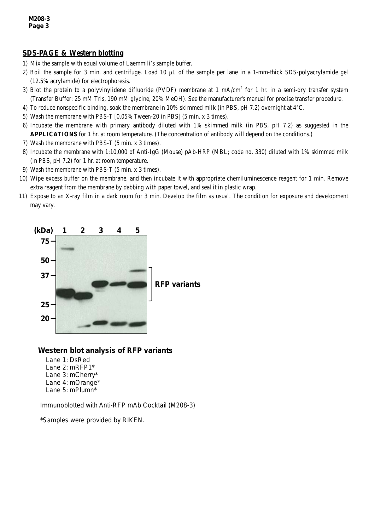#### **SDS-PAGE & Western blotting**

- 1) Mix the sample with equal volume of Laemmili's sample buffer.
- 2) Boil the sample for 3 min. and centrifuge. Load 10  $\mu$ L of the sample per lane in a 1-mm-thick SDS-polyacrylamide gel (12.5% acrylamide) for electrophoresis.
- 3) Blot the protein to a polyvinylidene difluoride (PVDF) membrane at 1 mA/cm<sup>2</sup> for 1 hr. in a semi-dry transfer system (Transfer Buffer: 25 mM Tris, 190 mM glycine, 20% MeOH). See the manufacturer's manual for precise transfer procedure.
- 4) To reduce nonspecific binding, soak the membrane in 10% skimmed milk (in PBS, pH 7.2) overnight at 4°C.
- 5) Wash the membrane with PBS-T [0.05% Tween-20 in PBS] (5 min. x 3 times).
- 6) Incubate the membrane with primary antibody diluted with 1% skimmed milk (in PBS, pH 7.2) as suggested in the **APPLICATIONS** for 1 hr. at room temperature. (The concentration of antibody will depend on the conditions.)
- 7) Wash the membrane with PBS-T (5 min. x 3 times).
- 8) Incubate the membrane with 1:10,000 of Anti-IgG (Mouse) pAb-HRP (MBL; code no. 330) diluted with 1% skimmed milk (in PBS, pH 7.2) for 1 hr. at room temperature.
- 9) Wash the membrane with PBS-T (5 min. x 3 times).
- 10) Wipe excess buffer on the membrane, and then incubate it with appropriate chemiluminescence reagent for 1 min. Remove extra reagent from the membrane by dabbing with paper towel, and seal it in plastic wrap.
- 11) Expose to an X-ray film in a dark room for 3 min. Develop the film as usual. The condition for exposure and development may vary.



# *Western blot analysis of RFP variants*

Lane 1: DsRed Lane 2: mRFP1\* Lane 3: mCherry\* Lane 4: mOrange\* Lane 5: mPlumn\*

Immunoblotted with Anti-RFP mAb Cocktail (M208-3)

\*Samples were provided by RIKEN.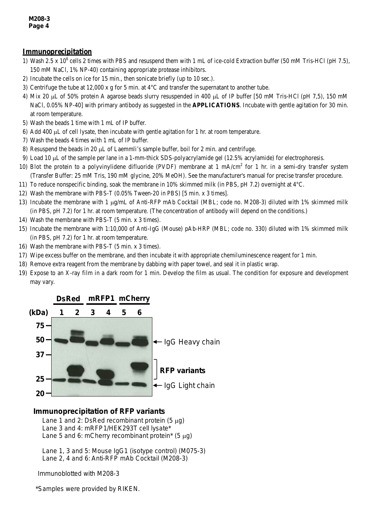#### **Immunoprecipitation**

- 1) Wash 2.5 x  $10^6$  cells 2 times with PBS and resuspend them with 1 mL of ice-cold Extraction buffer (50 mM Tris-HCl (pH 7.5), 150 mM NaCl, 1% NP-40) containing appropriate protease inhibitors.
- 2) Incubate the cells on ice for 15 min., then sonicate briefly (up to 10 sec.).
- 3) Centrifuge the tube at 12,000 x g for 5 min. at 4°C and transfer the supernatant to another tube.
- 4) Mix 20 µL of 50% protein A agarose beads slurry resuspended in 400 µL of IP buffer [50 mM Tris-HCl (pH 7,5), 150 mM NaCl, 0.05% NP-40] with primary antibody as suggested in the **APPLICATIONS**. Incubate with gentle agitation for 30 min. at room temperature.
- 5) Wash the beads 1 time with 1 mL of IP buffer.
- 6) Add 400 µL of cell lysate, then incubate with gentle agitation for 1 hr. at room temperature.
- 7) Wash the beads 4 times with 1 mL of IP buffer.
- 8) Resuspend the beads in 20 µL of Laemmli's sample buffer, boil for 2 min. and centrifuge.
- 9) Load 10 µL of the sample per lane in a 1-mm-thick SDS-polyacrylamide gel (12.5% acrylamide) for electrophoresis.
- 10) Blot the protein to a polyvinylidene difluoride (PVDF) membrane at 1 mA/cm<sup>2</sup> for 1 hr. in a semi-dry transfer system (Transfer Buffer: 25 mM Tris, 190 mM glycine, 20% MeOH). See the manufacturer's manual for precise transfer procedure.
- 11) To reduce nonspecific binding, soak the membrane in 10% skimmed milk (in PBS, pH 7.2) overnight at 4°C.
- 12) Wash the membrane with PBS-T (0.05% Tween-20 in PBS) [5 min. x 3 times].
- 13) Incubate the membrane with 1 µg/mL of Anti-RFP mAb Cocktail (MBL; code no. M208-3) diluted with 1% skimmed milk (in PBS, pH 7.2) for 1 hr. at room temperature. (The concentration of antibody will depend on the conditions.)
- 14) Wash the membrane with PBS-T (5 min. x 3 times).
- 15) Incubate the membrane with 1:10,000 of Anti-IgG (Mouse) pAb-HRP (MBL; code no. 330) diluted with 1% skimmed milk (in PBS, pH 7.2) for 1 hr. at room temperature.
- 16) Wash the membrane with PBS-T (5 min. x 3 times).
- 17) Wipe excess buffer on the membrane, and then incubate it with appropriate chemiluminescence reagent for 1 min.
- 18) Remove extra reagent from the membrane by dabbing with paper towel, and seal it in plastic wrap.
- 19) Expose to an X-ray film in a dark room for 1 min. Develop the film as usual. The condition for exposure and development may vary.



#### *Immunoprecipitation of RFP variants*

Lane 1 and 2: DsRed recombinant protein  $(5 \mu g)$ Lane 3 and 4: mRFP1/HEK293T cell lysate\* Lane 5 and 6: mCherry recombinant protein<sup>\*</sup> (5  $\mu$ g)

Lane 1, 3 and 5: Mouse IgG1 (isotype control) (M075-3) Lane 2, 4 and 6: Anti-RFP mAb Cocktail (M208-3)

Immunoblotted with M208-3

\*Samples were provided by RIKEN.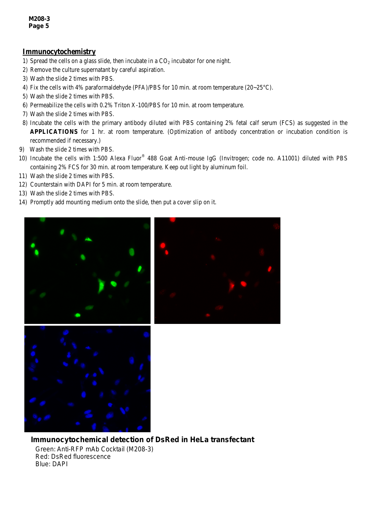#### **Immunocytochemistry**

- 1) Spread the cells on a glass slide, then incubate in a  $CO<sub>2</sub>$  incubator for one night.
- 2) Remove the culture supernatant by careful aspiration.
- 3) Wash the slide 2 times with PBS.
- 4) Fix the cells with 4% paraformaldehyde (PFA)/PBS for 10 min. at room temperature ( $20~25^{\circ}$ C).
- 5) Wash the slide 2 times with PBS.
- 6) Permeabilize the cells with 0.2% Triton X-100/PBS for 10 min. at room temperature.
- 7) Wash the slide 2 times with PBS.
- 8) Incubate the cells with the primary antibody diluted with PBS containing 2% fetal calf serum (FCS) as suggested in the **APPLICATIONS** for 1 hr. at room temperature. (Optimization of antibody concentration or incubation condition is recommended if necessary.)
- 9) Wash the slide 2 times with PBS.
- 10) Incubate the cells with 1:500 Alexa Fluor® 488 Goat Anti-mouse IgG (Invitrogen; code no. A11001) diluted with PBS containing 2% FCS for 30 min. at room temperature. Keep out light by aluminum foil.
- 11) Wash the slide 2 times with PBS.
- 12) Counterstain with DAPI for 5 min. at room temperature.
- 13) Wash the slide 2 times with PBS.
- 14) Promptly add mounting medium onto the slide, then put a cover slip on it.



*Immunocytochemical detection of DsRed in HeLa transfectant* Green: Anti-RFP mAb Cocktail (M208-3) Red: DsRed fluorescence Blue: DAPI